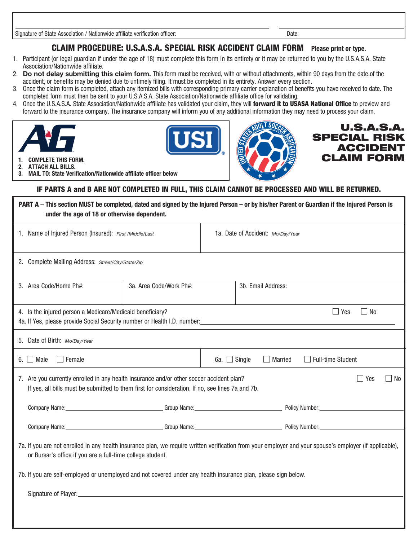Signature of State Association / Nationwide affiliate verification officer: Date: Date:

## CLAIM PROCEDURE: U.S.A.S.A. SPECIAL RISK ACCIDENT CLAIM FORM **Please print or type.**

- 1. Participant (or legal guardian if under the age of 18) must complete this form in its entirety or it may be returned to you by the U.S.A.S.A. State Association/Nationwide affiliate.
- 2. **Do not delay submitting this claim form.** This form must be received, with or without attachments, within 90 days from the date of the accident, or benefits may be denied due to untimely filing. It must be completed in its entirety. Answer every section.
- 3. Once the claim form is completed, attach any itemized bills with corresponding primary carrier explanation of benefits you have received to date. The completed form must then be sent to your U.S.A.S.A. State Association/Nationwide affiliate office for validating.
- 4. Once the U.S.A.S.A. State Association/Nationwide affiliate has validated your claim, they will forward it to USASA National Office to preview and forward to the insurance company. The insurance company will inform you of any additional information they may need to process your claim.







U.S.A.S.A. SPECIAL RISK ACCIDENT **1. COMPLETE THIS FORM. CLAIM FORM.** 

**2. ATTACH ALL BILLS.**

**3. MAIL TO: State Verification/Nationwide affiliate officer below**

## IF PARTS A and B ARE NOT COMPLETED IN FULL, THIS CLAIM CANNOT BE PROCESSED AND WILL BE RETURNED.

| PART A - This section MUST be completed, dated and signed by the Injured Person - or by his/her Parent or Guardian if the Injured Person is<br>under the age of 18 or otherwise dependent.                                                                                                                                               |                         |                                                                        |                |                          |  |  |
|------------------------------------------------------------------------------------------------------------------------------------------------------------------------------------------------------------------------------------------------------------------------------------------------------------------------------------------|-------------------------|------------------------------------------------------------------------|----------------|--------------------------|--|--|
| 1. Name of Injured Person (Insured): First /Middle/Last                                                                                                                                                                                                                                                                                  |                         | 1a. Date of Accident: Mo/Day/Year                                      |                |                          |  |  |
| 2. Complete Mailing Address: Street/City/State/Zip                                                                                                                                                                                                                                                                                       |                         |                                                                        |                |                          |  |  |
| 3. Area Code/Home Ph#:                                                                                                                                                                                                                                                                                                                   | 3a. Area Code/Work Ph#: | 3b. Email Address:                                                     |                |                          |  |  |
| $\Box$ Yes<br>$\Box$ No<br>4. Is the injured person a Medicare/Medicaid beneficiary?                                                                                                                                                                                                                                                     |                         |                                                                        |                |                          |  |  |
| 5. Date of Birth: Mo/Day/Year                                                                                                                                                                                                                                                                                                            |                         |                                                                        |                |                          |  |  |
| 6. $\Box$ Male<br>$\Box$ Female                                                                                                                                                                                                                                                                                                          |                         | 6a. $\Box$ Single                                                      | $\Box$ Married | $\Box$ Full-time Student |  |  |
| 7. Are you currently enrolled in any health insurance and/or other soccer accident plan?<br>Yes<br>$\Box$ No<br>If yes, all bills must be submitted to them first for consideration. If no, see lines 7a and 7b.                                                                                                                         |                         |                                                                        |                |                          |  |  |
| Company Name: <u>Company Name: Company Name: Company Name: Company Name: Policy Number: Company Name:</u>                                                                                                                                                                                                                                |                         |                                                                        |                |                          |  |  |
|                                                                                                                                                                                                                                                                                                                                          |                         | Company Name: Company Name: Company Name: Company Name: Policy Number: |                |                          |  |  |
| 7a. If you are not enrolled in any health insurance plan, we require written verification from your employer and your spouse's employer (if applicable),<br>or Bursar's office if you are a full-time college student.<br>7b. If you are self-employed or unemployed and not covered under any health insurance plan, please sign below. |                         |                                                                        |                |                          |  |  |
|                                                                                                                                                                                                                                                                                                                                          |                         |                                                                        |                |                          |  |  |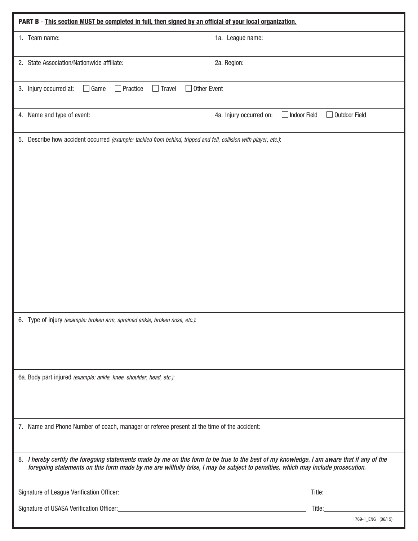| PART B - This section MUST be completed in full, then signed by an official of your local organization.                                                                                                                                                                       |                                                                 |  |  |  |  |  |
|-------------------------------------------------------------------------------------------------------------------------------------------------------------------------------------------------------------------------------------------------------------------------------|-----------------------------------------------------------------|--|--|--|--|--|
| 1. Team name:                                                                                                                                                                                                                                                                 | 1a. League name:                                                |  |  |  |  |  |
| 2. State Association/Nationwide affiliate:                                                                                                                                                                                                                                    | 2a. Region:                                                     |  |  |  |  |  |
| $\Box$ Other Event<br>3. Injury occurred at:<br>$\Box$ Game<br>$\Box$ Practice<br>$\Box$ Travel                                                                                                                                                                               |                                                                 |  |  |  |  |  |
| 4. Name and type of event:                                                                                                                                                                                                                                                    | Outdoor Field<br>4a. Injury occurred on:<br><b>Indoor Field</b> |  |  |  |  |  |
| 5. Describe how accident occurred (example: tackled from behind, tripped and fell, collision with player, etc.):                                                                                                                                                              |                                                                 |  |  |  |  |  |
| 6. Type of injury (example: broken arm, sprained ankle, broken nose, etc.):                                                                                                                                                                                                   |                                                                 |  |  |  |  |  |
| 6a. Body part injured (example: ankle, knee, shoulder, head, etc.):                                                                                                                                                                                                           |                                                                 |  |  |  |  |  |
| 7. Name and Phone Number of coach, manager or referee present at the time of the accident:                                                                                                                                                                                    |                                                                 |  |  |  |  |  |
| 8. I hereby certify the foregoing statements made by me on this form to be true to the best of my knowledge. I am aware that if any of the<br>foregoing statements on this form made by me are willfully false, I may be subject to penalties, which may include prosecution. |                                                                 |  |  |  |  |  |
|                                                                                                                                                                                                                                                                               | Title: <b>William Strategie</b>                                 |  |  |  |  |  |
|                                                                                                                                                                                                                                                                               | Title:__________<br>1769-1_ENG (06/15)                          |  |  |  |  |  |